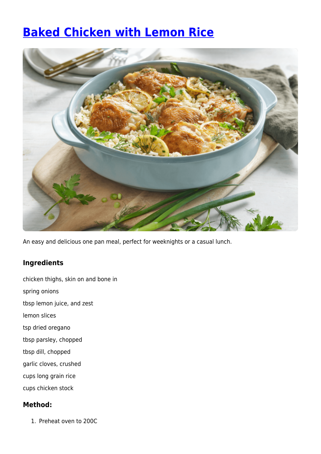## **[Baked Chicken with Lemon Rice](https://www.iga.com.au/recipes/winter/baked-chicken-with-lemon-rice/)**



An easy and delicious one pan meal, perfect for weeknights or a casual lunch.

## **Ingredients**

- chicken thighs, skin on and bone in
- spring onions
- tbsp lemon juice, and zest
- lemon slices
- tsp dried oregano
- tbsp parsley, chopped
- tbsp dill, chopped
- garlic cloves, crushed
- cups long grain rice
- cups chicken stock

## **Method:**

1. Preheat oven to 200C